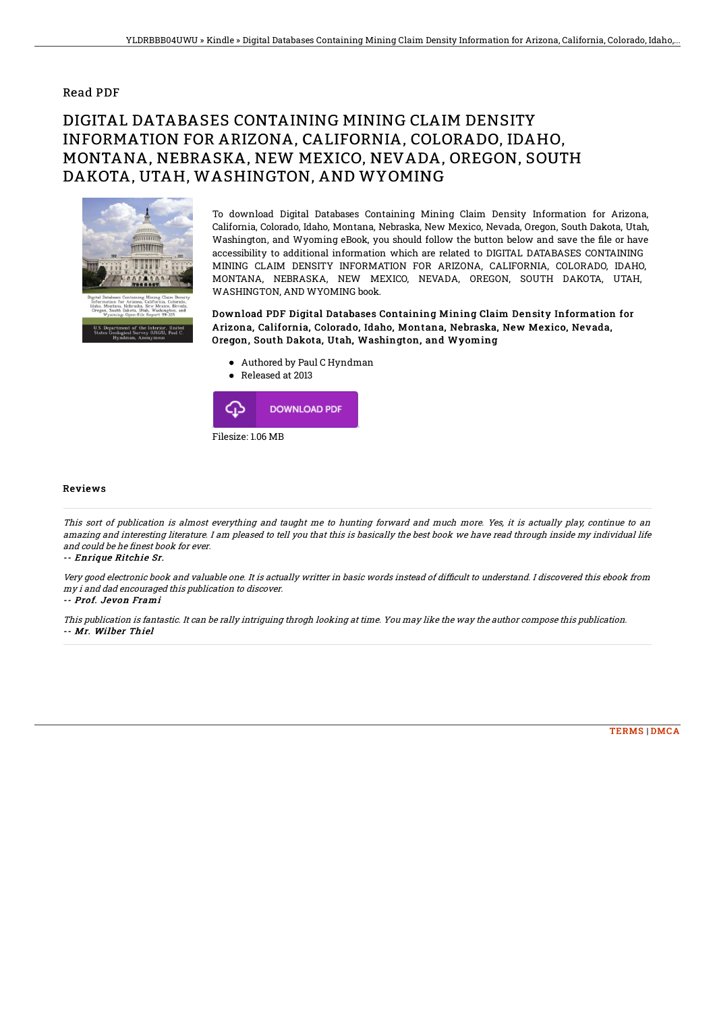### Read PDF

# DIGITAL DATABASES CONTAINING MINING CLAIM DENSITY INFORMATION FOR ARIZONA, CALIFORNIA, COLORADO, IDAHO, MONTANA, NEBRASKA, NEW MEXICO, NEVADA, OREGON, SOUTH DAKOTA, UTAH, WASHINGTON, AND WYOMING



To download Digital Databases Containing Mining Claim Density Information for Arizona, California, Colorado, Idaho, Montana, Nebraska, New Mexico, Nevada, Oregon, South Dakota, Utah, Washington, and Wyoming eBook, you should follow the button below and save the file or have accessibility to additional information which are related to DIGITAL DATABASES CONTAINING MINING CLAIM DENSITY INFORMATION FOR ARIZONA, CALIFORNIA, COLORADO, IDAHO, MONTANA, NEBRASKA, NEW MEXICO, NEVADA, OREGON, SOUTH DAKOTA, UTAH, WASHINGTON, AND WYOMING book.

Download PDF Digital Databases Containing Mining Claim Density Information for Arizona, California, Colorado, Idaho, Montana, Nebraska, New Mexico, Nevada, Oregon, South Dakota, Utah, Washington, and Wyoming

- Authored by Paul C Hyndman
- Released at 2013



#### Reviews

This sort of publication is almost everything and taught me to hunting forward and much more. Yes, it is actually play, continue to an amazing and interesting literature. I am pleased to tell you that this is basically the best book we have read through inside my individual life and could be he finest book for ever.

-- Enrique Ritchie Sr.

Very good electronic book and valuable one. It is actually writter in basic words instead of difficult to understand. I discovered this ebook from my i and dad encouraged this publication to discover.

#### -- Prof. Jevon Frami

This publication is fantastic. It can be rally intriguing throgh looking at time. You may like the way the author compose this publication. -- Mr. Wilber Thiel